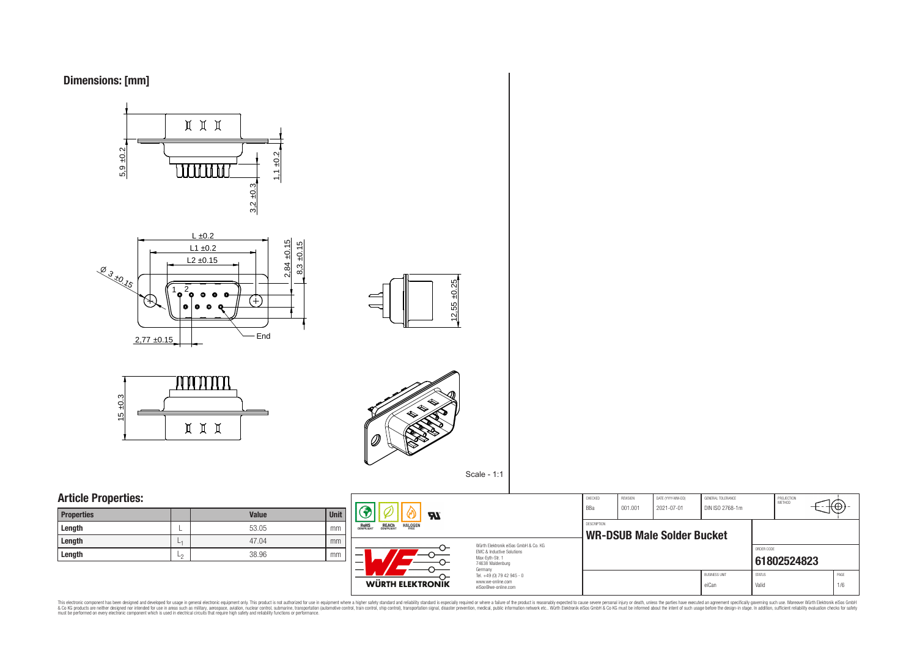



### **Article Properties:**

| <b>Properties</b> |         | <b>Value</b> | <b>Unit</b> |
|-------------------|---------|--------------|-------------|
| Length            | –       | 53.05        | mm          |
| Length            | and the | 47.04        | mm          |
| Length            | ∟∩      | 38.96        | mm          |



Würth Elektronik eiSos GmbH & Co. KG EMC & Inductive Solutions Max-Eyth-Str. 1 74638 Waldenburg Germany Tel. +49 (0) 79 42 945 - 0 www.we-online.com eiSos@we-online.com

DESCRIPTION

| CHECKED<br><b>BBa</b>                                   | <b>REVISION</b><br>001.001 | DATE (YYYY-MM-DD)<br>2021-07-01 | GENERAL TOLERANCE<br>DIN ISO 2768-1m |               | PROJECTION<br>MFTHOD |      |
|---------------------------------------------------------|----------------------------|---------------------------------|--------------------------------------|---------------|----------------------|------|
| <b>DESCRIPTION</b><br><b>WR-DSUB Male Solder Bucket</b> |                            |                                 |                                      |               |                      |      |
|                                                         |                            |                                 |                                      | ORDER CODE    | 61802524823          |      |
|                                                         |                            |                                 | <b>BLISINESS LINIT</b>               | <b>STATUS</b> |                      | PAGE |
|                                                         |                            |                                 | eiCan                                | Valid         |                      | 1/6  |

This electronic component has been designed and developed for usage in general electronic equipment only. This product is not authorized for subserved requipment where a higher selection equipment where a higher selection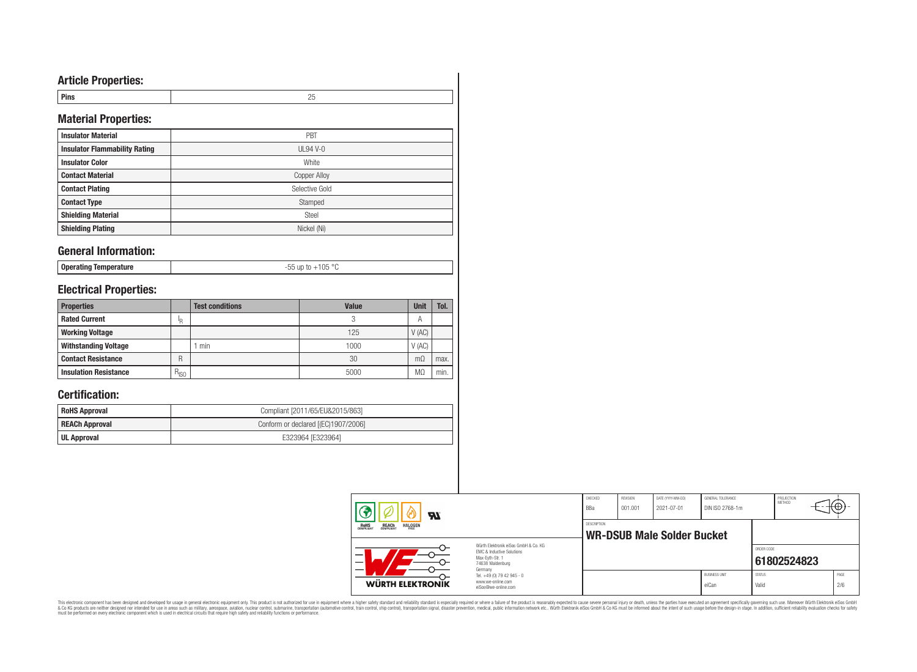# **Article Properties:**

| Pins | - - |
|------|-----|

# **Material Properties:**

| <b>Insulator Material</b>            | PBT            |
|--------------------------------------|----------------|
| <b>Insulator Flammability Rating</b> | $UL94V-0$      |
| <b>Insulator Color</b>               | White          |
| <b>Contact Material</b>              | Copper Alloy   |
| <b>Contact Plating</b>               | Selective Gold |
| <b>Contact Type</b>                  | Stamped        |
| <b>Shielding Material</b>            | Steel          |
| <b>Shielding Plating</b>             | Nickel (Ni)    |

### **General Information:**

| Operating Temperature |  |
|-----------------------|--|
|-----------------------|--|

-55 up to +105 °C

# **Electrical Properties:**

| <b>Properties</b>            |               | <b>Test conditions</b> | <b>Value</b> | Unit           | Tol. |
|------------------------------|---------------|------------------------|--------------|----------------|------|
| <b>Rated Current</b>         | ΙR            |                        |              | $\overline{A}$ |      |
| <b>Working Voltage</b>       |               |                        | 125          | V(AC)          |      |
| <b>Withstanding Voltage</b>  |               | min                    | 1000         | V(AC)          |      |
| <b>Contact Resistance</b>    | R             |                        | 30           | $m\Omega$      | max. |
| <b>Insulation Resistance</b> | $R_{\mid SO}$ |                        | 5000         | M <sub>2</sub> | min. |

# **Certification:**

| <b>RoHS Approval</b>  | Compliant [2011/65/EU&2015/863]     |
|-----------------------|-------------------------------------|
| <b>REACh Approval</b> | Conform or declared [(EC)1907/2006] |
| UL Approval           | E323964 [E323964]                   |

| <b>RI</b>                                                        |                                                                             | CHECKED<br>BBa     | <b>REVISION</b><br>001.001 | DATE (YYYY-MM-DD)<br>2021-07-01   | <b>GENERAL TOLERANCE</b><br>DIN ISO 2768-1m |                        | PROJECTION<br>METHOD | ₩           |
|------------------------------------------------------------------|-----------------------------------------------------------------------------|--------------------|----------------------------|-----------------------------------|---------------------------------------------|------------------------|----------------------|-------------|
| <b>HALOGEN</b><br><b>REACH</b><br>COMPLIANT<br>ROHS<br>COMPLIANT | Würth Elektronik eiSos GmbH & Co. KG                                        | <b>DESCRIPTION</b> |                            | <b>WR-DSUB Male Solder Bucket</b> |                                             |                        |                      |             |
| –                                                                | EMC & Inductive Solutions<br>Max-Eyth-Str. 1<br>74638 Waldenburg<br>Germany |                    |                            |                                   |                                             | ORDER CODE             | 61802524823          |             |
| <b>WÜRTH ELEKTRONIK</b>                                          | Tel. +49 (0) 79 42 945 - 0<br>www.we-online.com<br>eiSos@we-online.com      |                    |                            |                                   | <b>BUSINESS UNIT</b><br>eiCan               | <b>STATUS</b><br>Valid |                      | PAGE<br>2/6 |

This electronic component has been designed and developed for usage in general electronic equipment only. This product is not authorized for subserved requipment where a higher selection equipment where a higher selection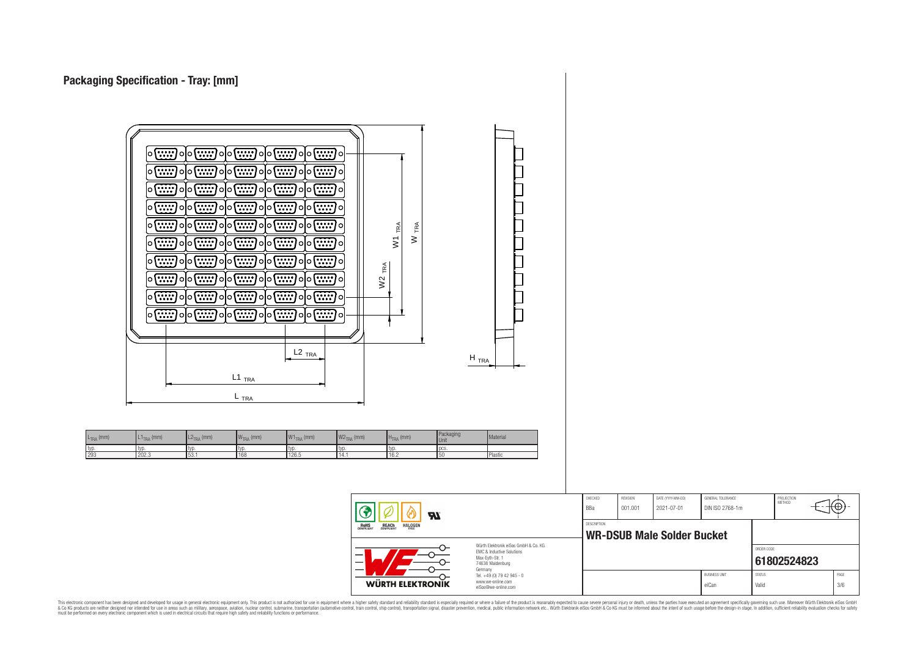L<sub>TRA</sub> (mm)



This electronic component has been designed and developed for usage in general electronic equipment only. This product is not authorized for use in equipment where a higher safely standard and reliability standard si espec & Ook product a label and the membed of the seasuch as marked and as which such a membed and the such assume that income in the seasuch and the simulation and the such assume that include to the such a membed and the such

PROJECTION<br>METHOD

7@

**[61802524823](https://www.we-online.com/catalog/en/article/61802524823)** BUSINESS UNIT STATUS STATUS eiCan Valid 3/6

ORDER CODE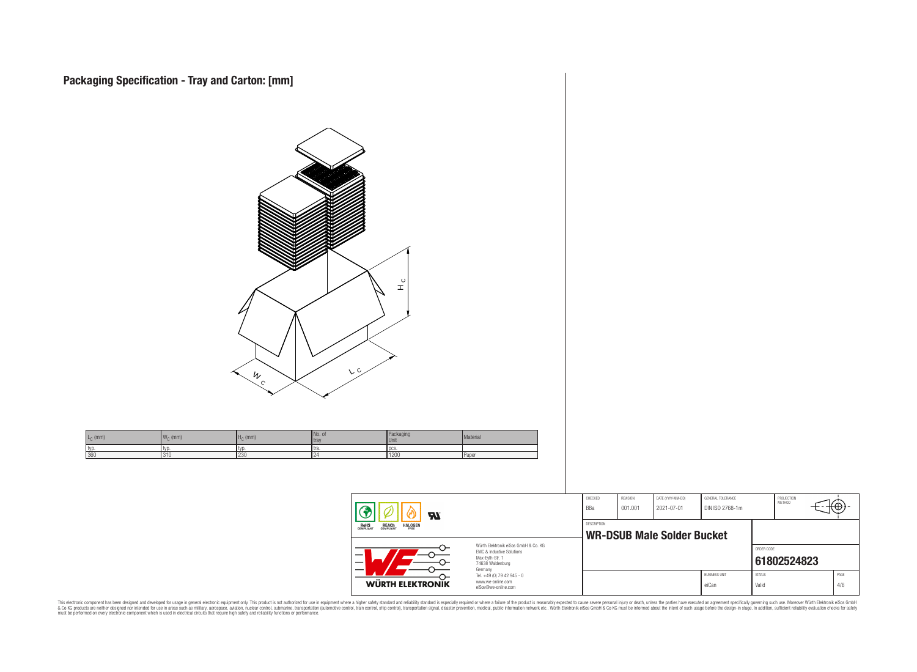

This electronic component has been designed and developed for usage in general electronic equipment only. This product is not authorized for subserved requipment where a higher selection equipment where a higher selection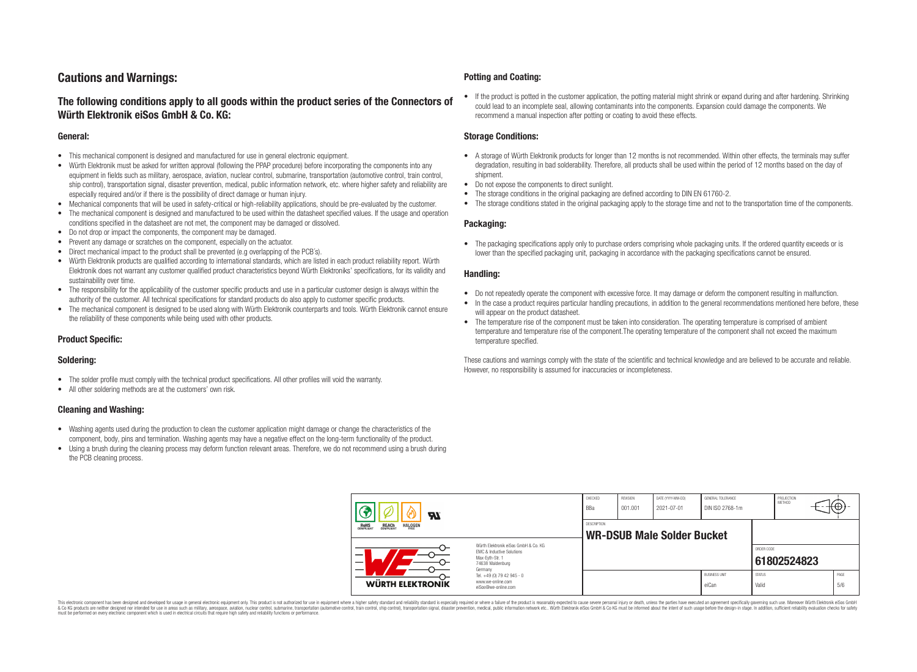# **Cautions and Warnings:**

### **The following conditions apply to all goods within the product series of the Connectors of Würth Elektronik eiSos GmbH & Co. KG:**

#### **General:**

- This mechanical component is designed and manufactured for use in general electronic equipment.
- Würth Elektronik must be asked for written approval (following the PPAP procedure) before incorporating the components into any equipment in fields such as military, aerospace, aviation, nuclear control, submarine, transportation (automotive control, train control, ship control), transportation signal, disaster prevention, medical, public information network, etc. where higher safety and reliability are especially required and/or if there is the possibility of direct damage or human injury.
- Mechanical components that will be used in safety-critical or high-reliability applications, should be pre-evaluated by the customer.
- The mechanical component is designed and manufactured to be used within the datasheet specified values. If the usage and operation conditions specified in the datasheet are not met, the component may be damaged or dissolved.
- Do not drop or impact the components, the component may be damaged.
- Prevent any damage or scratches on the component, especially on the actuator.
- Direct mechanical impact to the product shall be prevented (e.g overlapping of the PCB's).
- Würth Elektronik products are qualified according to international standards, which are listed in each product reliability report. Würth Elektronik does not warrant any customer qualified product characteristics beyond Würth Elektroniks' specifications, for its validity and sustainability over time.
- The responsibility for the applicability of the customer specific products and use in a particular customer design is always within the authority of the customer. All technical specifications for standard products do also apply to customer specific products.
- The mechanical component is designed to be used along with Würth Elektronik counterparts and tools. Würth Elektronik cannot ensure the reliability of these components while being used with other products.

#### **Product Specific:**

#### **Soldering:**

- The solder profile must comply with the technical product specifications. All other profiles will void the warranty.
- All other soldering methods are at the customers' own risk.

#### **Cleaning and Washing:**

- Washing agents used during the production to clean the customer application might damage or change the characteristics of the component, body, pins and termination. Washing agents may have a negative effect on the long-term functionality of the product.
- Using a brush during the cleaning process may deform function relevant areas. Therefore, we do not recommend using a brush during the PCB cleaning process.

#### **Potting and Coating:**

• If the product is potted in the customer application, the potting material might shrink or expand during and after hardening. Shrinking could lead to an incomplete seal, allowing contaminants into the components. Expansion could damage the components. We recommend a manual inspection after potting or coating to avoid these effects.

#### **Storage Conditions:**

- A storage of Würth Elektronik products for longer than 12 months is not recommended. Within other effects, the terminals may suffer degradation, resulting in bad solderability. Therefore, all products shall be used within the period of 12 months based on the day of shipment.
- Do not expose the components to direct sunlight.
- The storage conditions in the original packaging are defined according to DIN EN 61760-2.
- The storage conditions stated in the original packaging apply to the storage time and not to the transportation time of the components.

#### **Packaging:**

• The packaging specifications apply only to purchase orders comprising whole packaging units. If the ordered quantity exceeds or is lower than the specified packaging unit, packaging in accordance with the packaging specifications cannot be ensured.

#### **Handling:**

- Do not repeatedly operate the component with excessive force. It may damage or deform the component resulting in malfunction.
- In the case a product requires particular handling precautions, in addition to the general recommendations mentioned here before, these will appear on the product datasheet
- The temperature rise of the component must be taken into consideration. The operating temperature is comprised of ambient temperature and temperature rise of the component.The operating temperature of the component shall not exceed the maximum temperature specified.

These cautions and warnings comply with the state of the scientific and technical knowledge and are believed to be accurate and reliable. However, no responsibility is assumed for inaccuracies or incompleteness.

| <b>Al</b>                                                                                                                |                                                                        | CHECKED<br>BBa     | REVISION<br>001.001 | DATE (YYYY-MM-DD)<br>2021-07-01   | GENERAL TOLERANCE<br>DIN ISO 2768-1m |                        | PROJECTION<br><b>METHOD</b> | ÷Φ          |
|--------------------------------------------------------------------------------------------------------------------------|------------------------------------------------------------------------|--------------------|---------------------|-----------------------------------|--------------------------------------|------------------------|-----------------------------|-------------|
| <b>HALOGEN</b><br><b>REACH</b><br>COMPLIANT<br>ROHS<br>COMPLIANT                                                         |                                                                        | <b>DESCRIPTION</b> |                     | <b>WR-DSUB Male Solder Bucket</b> |                                      |                        |                             |             |
| Würth Flektronik eiSos GmbH & Co. KG<br>FMC & Inductive Solutions<br>–<br>Max-Evth-Str. 1<br>74638 Waldenburg<br>Germany |                                                                        |                    |                     |                                   |                                      | ORDER CODE             | 61802524823                 |             |
| WÜRTH ELEKTRONIK                                                                                                         | Tel. +49 (0) 79 42 945 - 0<br>www.we-online.com<br>eiSos@we-online.com |                    |                     |                                   | <b>BUSINESS UNIT</b><br>eiCan        | <b>STATUS</b><br>Valid |                             | PAGE<br>5/6 |

This electronic component has been designed and developed for usage in general electronic equipment only. This product is not authorized for use in equipment where a higher safety standard and reliability standard si espec & Ook product a label and the membed of the seasuch as marked and as which such a membed and the such assume that income in the seasuch and the simulation and the such assume that include to the such a membed and the such